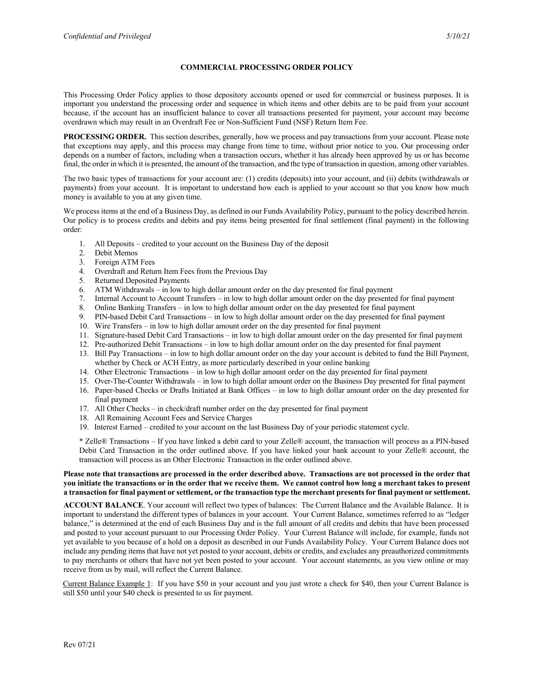## **COMMERCIAL PROCESSING ORDER POLICY**

This Processing Order Policy applies to those depository accounts opened or used for commercial or business purposes. It is important you understand the processing order and sequence in which items and other debits are to be paid from your account because, if the account has an insufficient balance to cover all transactions presented for payment, your account may become overdrawn which may result in an Overdraft Fee or Non-Sufficient Fund (NSF) Return Item Fee.

**PROCESSING ORDER.** This section describes, generally, how we process and pay transactions from your account. Please note that exceptions may apply, and this process may change from time to time, without prior notice to you. Our processing order depends on a number of factors, including when a transaction occurs, whether it has already been approved by us or has become final, the order in which it is presented, the amount of the transaction, and the type of transaction in question, among other variables.

The two basic types of transactions for your account are: (1) credits (deposits) into your account, and (ii) debits (withdrawals or payments) from your account. It is important to understand how each is applied to your account so that you know how much money is available to you at any given time.

We process items at the end of a Business Day, as defined in our Funds Availability Policy, pursuant to the policy described herein. Our policy is to process credits and debits and pay items being presented for final settlement (final payment) in the following order:

- 1. All Deposits credited to your account on the Business Day of the deposit
- 2. Debit Memos
- 3. Foreign ATM Fees
- 4. Overdraft and Return Item Fees from the Previous Day
- 5. Returned Deposited Payments
- 6. ATM Withdrawals in low to high dollar amount order on the day presented for final payment
- 7. Internal Account to Account Transfers in low to high dollar amount order on the day presented for final payment
- 
- 8. Online Banking Transfers in low to high dollar amount order on the day presented for final payment 9. PIN-based Debit Card Transactions in low to high dollar amount order on the day presented for final 9. PIN-based Debit Card Transactions – in low to high dollar amount order on the day presented for final payment
- 10. Wire Transfers in low to high dollar amount order on the day presented for final payment
- 11. Signature-based Debit Card Transactions in low to high dollar amount order on the day presented for final payment
- 12. Pre-authorized Debit Transactions in low to high dollar amount order on the day presented for final payment
- 13. Bill Pay Transactions in low to high dollar amount order on the day your account is debited to fund the Bill Payment, whether by Check or ACH Entry, as more particularly described in your online banking
- 14. Other Electronic Transactions in low to high dollar amount order on the day presented for final payment
- 15. Over-The-Counter Withdrawals in low to high dollar amount order on the Business Day presented for final payment
- 16. Paper-based Checks or Drafts Initiated at Bank Offices in low to high dollar amount order on the day presented for final payment
- 17. All Other Checks in check/draft number order on the day presented for final payment
- 18. All Remaining Account Fees and Service Charges
- 19. Interest Earned credited to your account on the last Business Day of your periodic statement cycle.

\* Zelle® Transactions – If you have linked a debit card to your Zelle® account, the transaction will process as a PIN-based Debit Card Transaction in the order outlined above. If you have linked your bank account to your Zelle® account, the transaction will process as an Other Electronic Transaction in the order outlined above.

## **Please note that transactions are processed in the order described above. Transactions are not processed in the order that you initiate the transactions or in the order that we receive them. We cannot control how long a merchant takes to present a transaction for final payment or settlement, or the transaction type the merchant presents for final payment or settlement.**

**ACCOUNT BALANCE**. Your account will reflect two types of balances: The Current Balance and the Available Balance. It is important to understand the different types of balances in your account. Your Current Balance, sometimes referred to as "ledger balance," is determined at the end of each Business Day and is the full amount of all credits and debits that have been processed and posted to your account pursuant to our Processing Order Policy. Your Current Balance will include, for example, funds not yet available to you because of a hold on a deposit as described in our Funds Availability Policy. Your Current Balance does not include any pending items that have not yet posted to your account, debits or credits, and excludes any preauthorized commitments to pay merchants or others that have not yet been posted to your account. Your account statements, as you view online or may receive from us by mail, will reflect the Current Balance.

Current Balance Example 1: If you have \$50 in your account and you just wrote a check for \$40, then your Current Balance is still \$50 until your \$40 check is presented to us for payment.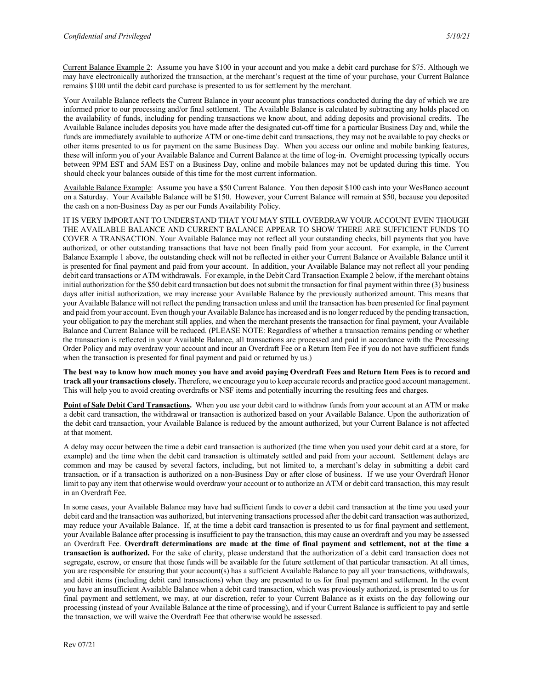Current Balance Example 2: Assume you have \$100 in your account and you make a debit card purchase for \$75. Although we may have electronically authorized the transaction, at the merchant's request at the time of your purchase, your Current Balance remains \$100 until the debit card purchase is presented to us for settlement by the merchant.

Your Available Balance reflects the Current Balance in your account plus transactions conducted during the day of which we are informed prior to our processing and/or final settlement. The Available Balance is calculated by subtracting any holds placed on the availability of funds, including for pending transactions we know about, and adding deposits and provisional credits. The Available Balance includes deposits you have made after the designated cut-off time for a particular Business Day and, while the funds are immediately available to authorize ATM or one-time debit card transactions, they may not be available to pay checks or other items presented to us for payment on the same Business Day. When you access our online and mobile banking features, these will inform you of your Available Balance and Current Balance at the time of log-in. Overnight processing typically occurs between 9PM EST and 5AM EST on a Business Day, online and mobile balances may not be updated during this time. You should check your balances outside of this time for the most current information.

Available Balance Example: Assume you have a \$50 Current Balance. You then deposit \$100 cash into your WesBanco account on a Saturday. Your Available Balance will be \$150. However, your Current Balance will remain at \$50, because you deposited the cash on a non-Business Day as per our Funds Availability Policy.

IT IS VERY IMPORTANT TO UNDERSTAND THAT YOU MAY STILL OVERDRAW YOUR ACCOUNT EVEN THOUGH THE AVAILABLE BALANCE AND CURRENT BALANCE APPEAR TO SHOW THERE ARE SUFFICIENT FUNDS TO COVER A TRANSACTION. Your Available Balance may not reflect all your outstanding checks, bill payments that you have authorized, or other outstanding transactions that have not been finally paid from your account. For example, in the Current Balance Example 1 above, the outstanding check will not be reflected in either your Current Balance or Available Balance until it is presented for final payment and paid from your account. In addition, your Available Balance may not reflect all your pending debit card transactions or ATM withdrawals. For example, in the Debit Card Transaction Example 2 below, if the merchant obtains initial authorization for the \$50 debit card transaction but does not submit the transaction for final payment within three (3) business days after initial authorization, we may increase your Available Balance by the previously authorized amount. This means that your Available Balance will not reflect the pending transaction unless and until the transaction has been presented for final payment and paid from your account. Even though your Available Balance has increased and is no longer reduced by the pending transaction, your obligation to pay the merchant still applies, and when the merchant presents the transaction for final payment, your Available Balance and Current Balance will be reduced. (PLEASE NOTE: Regardless of whether a transaction remains pending or whether the transaction is reflected in your Available Balance, all transactions are processed and paid in accordance with the Processing Order Policy and may overdraw your account and incur an Overdraft Fee or a Return Item Fee if you do not have sufficient funds when the transaction is presented for final payment and paid or returned by us.)

**The best way to know how much money you have and avoid paying Overdraft Fees and Return Item Fees is to record and track all your transactions closely.** Therefore, we encourage you to keep accurate records and practice good account management. This will help you to avoid creating overdrafts or NSF items and potentially incurring the resulting fees and charges.

**Point of Sale Debit Card Transactions.** When you use your debit card to withdraw funds from your account at an ATM or make a debit card transaction, the withdrawal or transaction is authorized based on your Available Balance. Upon the authorization of the debit card transaction, your Available Balance is reduced by the amount authorized, but your Current Balance is not affected at that moment.

A delay may occur between the time a debit card transaction is authorized (the time when you used your debit card at a store, for example) and the time when the debit card transaction is ultimately settled and paid from your account. Settlement delays are common and may be caused by several factors, including, but not limited to, a merchant's delay in submitting a debit card transaction, or if a transaction is authorized on a non-Business Day or after close of business. If we use your Overdraft Honor limit to pay any item that otherwise would overdraw your account or to authorize an ATM or debit card transaction, this may result in an Overdraft Fee.

In some cases, your Available Balance may have had sufficient funds to cover a debit card transaction at the time you used your debit card and the transaction was authorized, but intervening transactions processed after the debit card transaction was authorized, may reduce your Available Balance. If, at the time a debit card transaction is presented to us for final payment and settlement, your Available Balance after processing is insufficient to pay the transaction, this may cause an overdraft and you may be assessed an Overdraft Fee. **Overdraft determinations are made at the time of final payment and settlement, not at the time a transaction is authorized.** For the sake of clarity, please understand that the authorization of a debit card transaction does not segregate, escrow, or ensure that those funds will be available for the future settlement of that particular transaction. At all times, you are responsible for ensuring that your account(s) has a sufficient Available Balance to pay all your transactions, withdrawals, and debit items (including debit card transactions) when they are presented to us for final payment and settlement. In the event you have an insufficient Available Balance when a debit card transaction, which was previously authorized, is presented to us for final payment and settlement, we may, at our discretion, refer to your Current Balance as it exists on the day following our processing (instead of your Available Balance at the time of processing), and if your Current Balance is sufficient to pay and settle the transaction, we will waive the Overdraft Fee that otherwise would be assessed.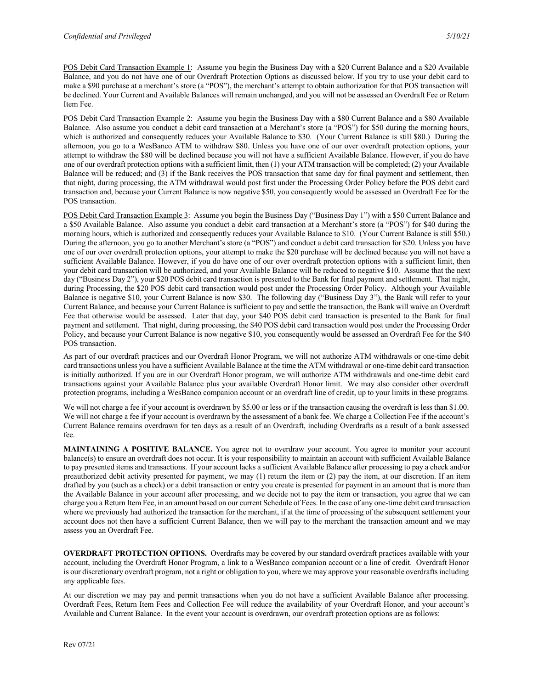POS Debit Card Transaction Example 1: Assume you begin the Business Day with a \$20 Current Balance and a \$20 Available Balance, and you do not have one of our Overdraft Protection Options as discussed below. If you try to use your debit card to make a \$90 purchase at a merchant's store (a "POS"), the merchant's attempt to obtain authorization for that POS transaction will be declined. Your Current and Available Balances will remain unchanged, and you will not be assessed an Overdraft Fee or Return Item Fee.

POS Debit Card Transaction Example 2: Assume you begin the Business Day with a \$80 Current Balance and a \$80 Available Balance. Also assume you conduct a debit card transaction at a Merchant's store (a "POS") for \$50 during the morning hours, which is authorized and consequently reduces your Available Balance to \$30. (Your Current Balance is still \$80.) During the afternoon, you go to a WesBanco ATM to withdraw \$80. Unless you have one of our over overdraft protection options, your attempt to withdraw the \$80 will be declined because you will not have a sufficient Available Balance. However, if you do have one of our overdraft protection options with a sufficient limit, then (1) your ATM transaction will be completed; (2) your Available Balance will be reduced; and (3) if the Bank receives the POS transaction that same day for final payment and settlement, then that night, during processing, the ATM withdrawal would post first under the Processing Order Policy before the POS debit card transaction and, because your Current Balance is now negative \$50, you consequently would be assessed an Overdraft Fee for the POS transaction.

POS Debit Card Transaction Example 3: Assume you begin the Business Day ("Business Day 1") with a \$50 Current Balance and a \$50 Available Balance. Also assume you conduct a debit card transaction at a Merchant's store (a "POS") for \$40 during the morning hours, which is authorized and consequently reduces your Available Balance to \$10. (Your Current Balance is still \$50.) During the afternoon, you go to another Merchant's store (a "POS") and conduct a debit card transaction for \$20. Unless you have one of our over overdraft protection options, your attempt to make the \$20 purchase will be declined because you will not have a sufficient Available Balance. However, if you do have one of our over overdraft protection options with a sufficient limit, then your debit card transaction will be authorized, and your Available Balance will be reduced to negative \$10. Assume that the next day ("Business Day 2"), your \$20 POS debit card transaction is presented to the Bank for final payment and settlement. That night, during Processing, the \$20 POS debit card transaction would post under the Processing Order Policy. Although your Available Balance is negative \$10, your Current Balance is now \$30. The following day ("Business Day 3"), the Bank will refer to your Current Balance, and because your Current Balance is sufficient to pay and settle the transaction, the Bank will waive an Overdraft Fee that otherwise would be assessed. Later that day, your \$40 POS debit card transaction is presented to the Bank for final payment and settlement. That night, during processing, the \$40 POS debit card transaction would post under the Processing Order Policy, and because your Current Balance is now negative \$10, you consequently would be assessed an Overdraft Fee for the \$40 POS transaction.

As part of our overdraft practices and our Overdraft Honor Program, we will not authorize ATM withdrawals or one-time debit card transactions unless you have a sufficient Available Balance at the time the ATM withdrawal or one-time debit card transaction is initially authorized. If you are in our Overdraft Honor program, we will authorize ATM withdrawals and one-time debit card transactions against your Available Balance plus your available Overdraft Honor limit. We may also consider other overdraft protection programs, including a WesBanco companion account or an overdraft line of credit, up to your limits in these programs.

We will not charge a fee if your account is overdrawn by \$5.00 or less or if the transaction causing the overdraft is less than \$1.00. We will not charge a fee if your account is overdrawn by the assessment of a bank fee. We charge a Collection Fee if the account's Current Balance remains overdrawn for ten days as a result of an Overdraft, including Overdrafts as a result of a bank assessed fee.

**MAINTAINING A POSITIVE BALANCE.** You agree not to overdraw your account. You agree to monitor your account balance(s) to ensure an overdraft does not occur. It is your responsibility to maintain an account with sufficient Available Balance to pay presented items and transactions. If your account lacks a sufficient Available Balance after processing to pay a check and/or preauthorized debit activity presented for payment, we may (1) return the item or (2) pay the item, at our discretion. If an item drafted by you (such as a check) or a debit transaction or entry you create is presented for payment in an amount that is more than the Available Balance in your account after processing, and we decide not to pay the item or transaction, you agree that we can charge you a Return Item Fee, in an amount based on our current Schedule of Fees. In the case of any one-time debit card transaction where we previously had authorized the transaction for the merchant, if at the time of processing of the subsequent settlement your account does not then have a sufficient Current Balance, then we will pay to the merchant the transaction amount and we may assess you an Overdraft Fee.

**OVERDRAFT PROTECTION OPTIONS.** Overdrafts may be covered by our standard overdraft practices available with your account, including the Overdraft Honor Program, a link to a WesBanco companion account or a line of credit. Overdraft Honor is our discretionary overdraft program, not a right or obligation to you, where we may approve your reasonable overdrafts including any applicable fees.

At our discretion we may pay and permit transactions when you do not have a sufficient Available Balance after processing. Overdraft Fees, Return Item Fees and Collection Fee will reduce the availability of your Overdraft Honor, and your account's Available and Current Balance. In the event your account is overdrawn, our overdraft protection options are as follows: